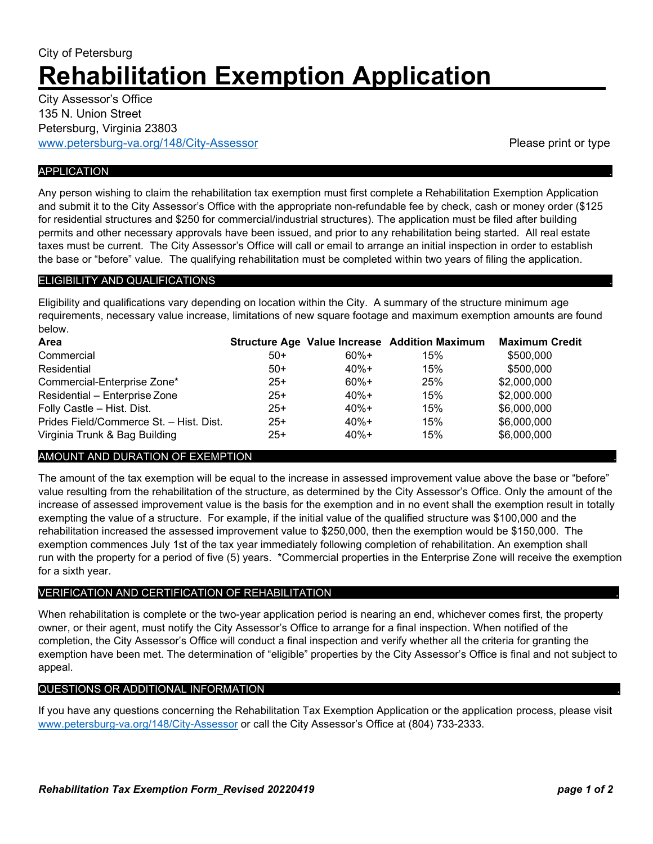# City of Petersburg **Rehabilitation Exemption Application**

| City Assessor's Office                 |
|----------------------------------------|
| 135 N. Union Street                    |
| Petersburg, Virginia 23803             |
| www.petersburg-va.org/148/City-Assesso |

Please print or type.

# **APPLICATION**

Any person wishing to claim the rehabilitation tax exemption must first complete a Rehabilitation Exemption Application and submit it to the City Assessor's Office with the appropriate non-refundable fee by check, cash or money order (\$125 for residential structures and \$250 for commercial/industrial structures). The application must be filed after building permits and other necessary approvals have been issued, and prior to any rehabilitation being started. All real estate taxes must be current. The City Assessor's Office will call or email to arrange an initial inspection in order to establish the base or "before" value. The qualifying rehabilitation must be completed within two years of filing the application.

## ELIGIBILITY AND QUALIFICATIONS .

Eligibility and qualifications vary depending on location within the City. A summary of the structure minimum age requirements, necessary value increase, limitations of new square footage and maximum exemption amounts are found below.

| <b>Area</b>                             |       |         | <b>Structure Age Value Increase Addition Maximum</b> | <b>Maximum Credit</b> |
|-----------------------------------------|-------|---------|------------------------------------------------------|-----------------------|
| Commercial                              | $50+$ | $60%+$  | 15%                                                  | \$500,000             |
| Residential                             | $50+$ | $40% +$ | 15%                                                  | \$500,000             |
| Commercial-Enterprise Zone*             | $25+$ | $60%+$  | 25%                                                  | \$2,000,000           |
| Residential - Enterprise Zone           | $25+$ | $40% +$ | 15%                                                  | \$2,000.000           |
| Folly Castle - Hist. Dist.              | $25+$ | $40% +$ | 15%                                                  | \$6,000,000           |
| Prides Field/Commerce St. - Hist. Dist. | $25+$ | $40% +$ | 15%                                                  | \$6,000,000           |
| Virginia Trunk & Bag Building           | $25+$ | $40% +$ | 15%                                                  | \$6,000,000           |

# AMOUNT AND DURATION OF EXEMPTION .

The amount of the tax exemption will be equal to the increase in assessed improvement value above the base or "before" value resulting from the rehabilitation of the structure, as determined by the City Assessor's Office. Only the amount of the increase of assessed improvement value is the basis for the exemption and in no event shall the exemption result in totally exempting the value of a structure. For example, if the initial value of the qualified structure was \$100,000 and the rehabilitation increased the assessed improvement value to \$250,000, then the exemption would be \$150,000. The exemption commences July 1st of the tax year immediately following completion of rehabilitation. An exemption shall run with the property for a period of five (5) years. \*Commercial properties in the Enterprise Zone will receive the exemption for a sixth year.

#### VERIFICATION AND CERTIFICATION OF REHABILITATION .

When rehabilitation is complete or the two-year application period is nearing an end, whichever comes first, the property owner, or their agent, must notify the City Assessor's Office to arrange for a final inspection. When notified of the completion, the City Assessor's Office will conduct a final inspection and verify whether all the criteria for granting the exemption have been met. The determination of "eligible" properties by the City Assessor's Office is final and not subject to appeal.

#### QUESTIONS OR ADDITIONAL INFORMATION .

If you have any questions concerning the Rehabilitation Tax Exemption Application or the application process, please visit [www.petersburg-va.org/148/City-Assessor](http://www.petersburg-va.org/148/City-Assessor) or call the City Assessor's Office at (804) 733-2333.